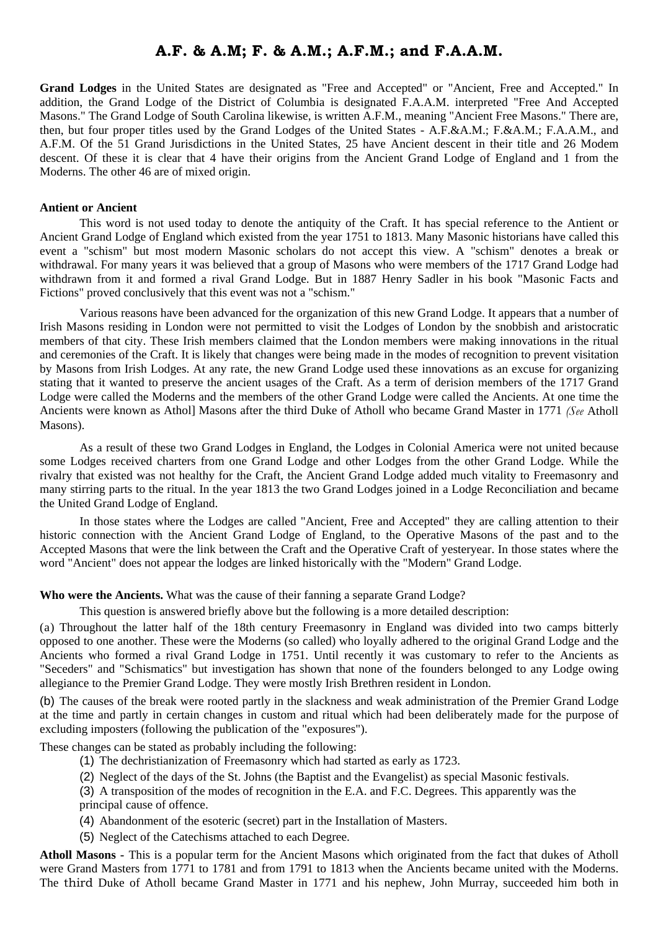## **A.F. & A.M; F. & A.M.; A.F.M.; and F.A.A.M.**

**Grand Lodges** in the United States are designated as "Free and Accepted" or "Ancient, Free and Accepted." In addition, the Grand Lodge of the District of Columbia is designated F.A.A.M. interpreted "Free And Accepted Masons." The Grand Lodge of South Carolina likewise, is written A.F.M., meaning "Ancient Free Masons." There are, then, but four proper titles used by the Grand Lodges of the United States - A.F.&A.M.; F.&A.M.; F.A.A.M., and A.F.M. Of the 51 Grand Jurisdictions in the United States, 25 have Ancient descent in their title and 26 Modem descent. Of these it is clear that 4 have their origins from the Ancient Grand Lodge of England and 1 from the Moderns. The other 46 are of mixed origin.

## **Antient or Ancient**

This word is not used today to denote the antiquity of the Craft. It has special reference to the Antient or Ancient Grand Lodge of England which existed from the year 1751 to 1813. Many Masonic historians have called this event a "schism" but most modern Masonic scholars do not accept this view. A "schism" denotes a break or withdrawal. For many years it was believed that a group of Masons who were members of the 1717 Grand Lodge had withdrawn from it and formed a rival Grand Lodge. But in 1887 Henry Sadler in his book "Masonic Facts and Fictions" proved conclusively that this event was not a "schism."

Various reasons have been advanced for the organization of this new Grand Lodge. It appears that a number of Irish Masons residing in London were not permitted to visit the Lodges of London by the snobbish and aristocratic members of that city. These Irish members claimed that the London members were making innovations in the ritual and ceremonies of the Craft. It is likely that changes were being made in the modes of recognition to prevent visitation by Masons from Irish Lodges. At any rate, the new Grand Lodge used these innovations as an excuse for organizing stating that it wanted to preserve the ancient usages of the Craft. As a term of derision members of the 1717 Grand Lodge were called the Moderns and the members of the other Grand Lodge were called the Ancients. At one time the Ancients were known as Athol] Masons after the third Duke of Atholl who became Grand Master in 1771 *(See* Atholl Masons).

As a result of these two Grand Lodges in England, the Lodges in Colonial America were not united because some Lodges received charters from one Grand Lodge and other Lodges from the other Grand Lodge. While the rivalry that existed was not healthy for the Craft, the Ancient Grand Lodge added much vitality to Freemasonry and many stirring parts to the ritual. In the year 1813 the two Grand Lodges joined in a Lodge Reconciliation and became the United Grand Lodge of England.

In those states where the Lodges are called "Ancient, Free and Accepted" they are calling attention to their historic connection with the Ancient Grand Lodge of England, to the Operative Masons of the past and to the Accepted Masons that were the link between the Craft and the Operative Craft of yesteryear. In those states where the word "Ancient" does not appear the lodges are linked historically with the "Modern" Grand Lodge.

## **Who were the Ancients.** What was the cause of their fanning a separate Grand Lodge?

This question is answered briefly above but the following is a more detailed description:

(a) Throughout the latter half of the 18th century Freemasonry in England was divided into two camps bitterly opposed to one another. These were the Moderns (so called) who loyally adhered to the original Grand Lodge and the Ancients who formed a rival Grand Lodge in 1751. Until recently it was customary to refer to the Ancients as "Seceders" and "Schismatics" but investigation has shown that none of the founders belonged to any Lodge owing allegiance to the Premier Grand Lodge. They were mostly Irish Brethren resident in London.

(b) The causes of the break were rooted partly in the slackness and weak administration of the Premier Grand Lodge at the time and partly in certain changes in custom and ritual which had been deliberately made for the purpose of excluding imposters (following the publication of the "exposures").

These changes can be stated as probably including the following:

- (1) The dechristianization of Freemasonry which had started as early as 1723.
- (2) Neglect of the days of the St. Johns (the Baptist and the Evangelist) as special Masonic festivals.

(3) A transposition of the modes of recognition in the E.A. and F.C. Degrees. This apparently was the principal cause of offence.

- (4) Abandonment of the esoteric (secret) part in the Installation of Masters.
- (5) Neglect of the Catechisms attached to each Degree.

**Atholl Masons -** This is a popular term for the Ancient Masons which originated from the fact that dukes of Atholl were Grand Masters from 1771 to 1781 and from 1791 to 1813 when the Ancients became united with the Moderns. The third Duke of Atholl became Grand Master in 1771 and his nephew, John Murray, succeeded him both in